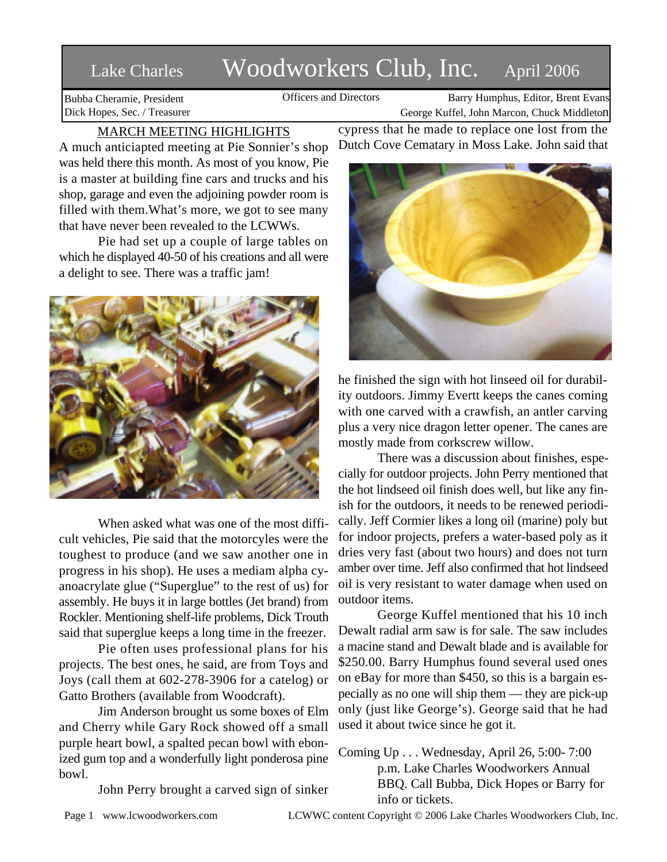# Lake Charles Woodworkers Club, Inc. April 2006

Bubba Cheramie, President Dick Hopes, Sec. / Treasurer

Officers and Directors Barry Humphus, Editor, Brent Evans George Kuffel, John Marcon, Chuck Middleton

## MARCH MEETING HIGHLIGHTS

A much anticiapted meeting at Pie Sonnier's shop was held there this month. As most of you know, Pie is a master at building fine cars and trucks and his shop, garage and even the adjoining powder room is filled with them.What's more, we got to see many that have never been revealed to the LCWWs.

Pie had set up a couple of large tables on which he displayed 40-50 of his creations and all were a delight to see. There was a traffic jam!



When asked what was one of the most difficult vehicles, Pie said that the motorcyles were the toughest to produce (and we saw another one in progress in his shop). He uses a mediam alpha cyanoacrylate glue ("Superglue" to the rest of us) for assembly. He buys it in large bottles (Jet brand) from Rockler. Mentioning shelf-life problems, Dick Trouth said that superglue keeps a long time in the freezer.

Pie often uses professional plans for his projects. The best ones, he said, are from Toys and Joys (call them at 602-278-3906 for a catelog) or Gatto Brothers (available from Woodcraft).

Jim Anderson brought us some boxes of Elm and Cherry while Gary Rock showed off a small purple heart bowl, a spalted pecan bowl with ebonized gum top and a wonderfully light ponderosa pine bowl.

John Perry brought a carved sign of sinker

cypress that he made to replace one lost from the Dutch Cove Cematary in Moss Lake. John said that



he finished the sign with hot linseed oil for durability outdoors. Jimmy Evertt keeps the canes coming with one carved with a crawfish, an antler carving plus a very nice dragon letter opener. The canes are mostly made from corkscrew willow.

There was a discussion about finishes, especially for outdoor projects. John Perry mentioned that the hot lindseed oil finish does well, but like any finish for the outdoors, it needs to be renewed periodically. Jeff Cormier likes a long oil (marine) poly but for indoor projects, prefers a water-based poly as it dries very fast (about two hours) and does not turn amber over time. Jeff also confirmed that hot lindseed oil is very resistant to water damage when used on outdoor items.

George Kuffel mentioned that his 10 inch Dewalt radial arm saw is for sale. The saw includes a macine stand and Dewalt blade and is available for \$250.00. Barry Humphus found several used ones on eBay for more than \$450, so this is a bargain especially as no one will ship them — they are pick-up only (just like George's). George said that he had used it about twice since he got it.

Coming Up . . . Wednesday, April 26, 5:00- 7:00 p.m. Lake Charles Woodworkers Annual BBQ. Call Bubba, Dick Hopes or Barry for info or tickets.

Page 1 www.lcwoodworkers.com LCWWC content Copyright © 2006 Lake Charles Woodworkers Club, Inc.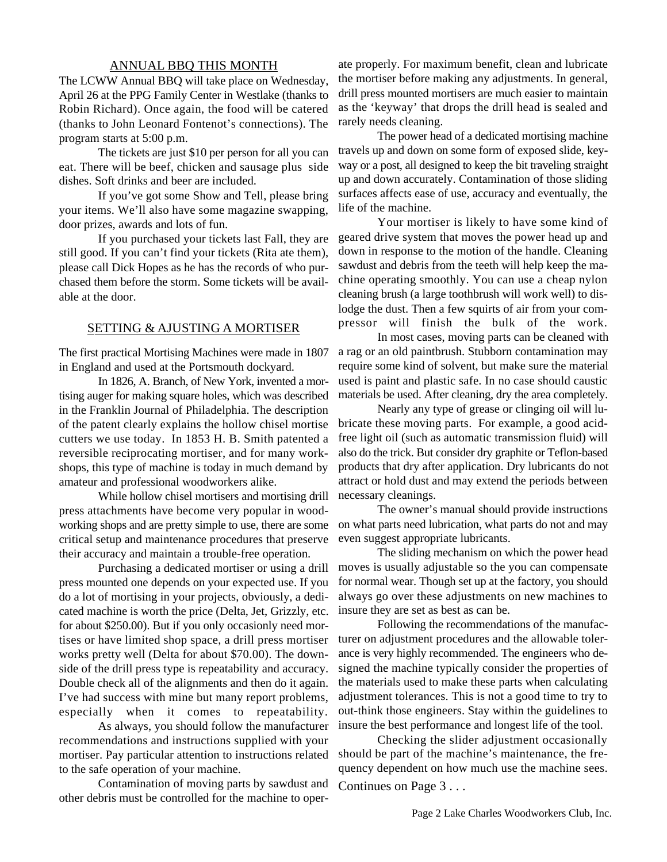### ANNUAL BBQ THIS MONTH

The LCWW Annual BBQ will take place on Wednesday, April 26 at the PPG Family Center in Westlake (thanks to Robin Richard). Once again, the food will be catered (thanks to John Leonard Fontenot's connections). The program starts at 5:00 p.m.

The tickets are just \$10 per person for all you can eat. There will be beef, chicken and sausage plus side dishes. Soft drinks and beer are included.

If you've got some Show and Tell, please bring your items. We'll also have some magazine swapping, door prizes, awards and lots of fun.

If you purchased your tickets last Fall, they are still good. If you can't find your tickets (Rita ate them), please call Dick Hopes as he has the records of who purchased them before the storm. Some tickets will be available at the door.

#### SETTING & AJUSTING A MORTISER

The first practical Mortising Machines were made in 1807 in England and used at the Portsmouth dockyard.

In 1826, A. Branch, of New York, invented a mortising auger for making square holes, which was described in the Franklin Journal of Philadelphia. The description of the patent clearly explains the hollow chisel mortise cutters we use today. In 1853 H. B. Smith patented a reversible reciprocating mortiser, and for many workshops, this type of machine is today in much demand by amateur and professional woodworkers alike.

While hollow chisel mortisers and mortising drill press attachments have become very popular in woodworking shops and are pretty simple to use, there are some critical setup and maintenance procedures that preserve their accuracy and maintain a trouble-free operation.

Purchasing a dedicated mortiser or using a drill press mounted one depends on your expected use. If you do a lot of mortising in your projects, obviously, a dedicated machine is worth the price (Delta, Jet, Grizzly, etc. for about \$250.00). But if you only occasionly need mortises or have limited shop space, a drill press mortiser works pretty well (Delta for about \$70.00). The downside of the drill press type is repeatability and accuracy. Double check all of the alignments and then do it again. I've had success with mine but many report problems, especially when it comes to repeatability.

As always, you should follow the manufacturer recommendations and instructions supplied with your mortiser. Pay particular attention to instructions related to the safe operation of your machine.

Contamination of moving parts by sawdust and other debris must be controlled for the machine to operate properly. For maximum benefit, clean and lubricate the mortiser before making any adjustments. In general, drill press mounted mortisers are much easier to maintain as the 'keyway' that drops the drill head is sealed and rarely needs cleaning.

The power head of a dedicated mortising machine travels up and down on some form of exposed slide, keyway or a post, all designed to keep the bit traveling straight up and down accurately. Contamination of those sliding surfaces affects ease of use, accuracy and eventually, the life of the machine.

Your mortiser is likely to have some kind of geared drive system that moves the power head up and down in response to the motion of the handle. Cleaning sawdust and debris from the teeth will help keep the machine operating smoothly. You can use a cheap nylon cleaning brush (a large toothbrush will work well) to dislodge the dust. Then a few squirts of air from your compressor will finish the bulk of the work.

In most cases, moving parts can be cleaned with a rag or an old paintbrush. Stubborn contamination may require some kind of solvent, but make sure the material used is paint and plastic safe. In no case should caustic materials be used. After cleaning, dry the area completely.

Nearly any type of grease or clinging oil will lubricate these moving parts. For example, a good acidfree light oil (such as automatic transmission fluid) will also do the trick. But consider dry graphite or Teflon-based products that dry after application. Dry lubricants do not attract or hold dust and may extend the periods between necessary cleanings.

The owner's manual should provide instructions on what parts need lubrication, what parts do not and may even suggest appropriate lubricants.

The sliding mechanism on which the power head moves is usually adjustable so the you can compensate for normal wear. Though set up at the factory, you should always go over these adjustments on new machines to insure they are set as best as can be.

Following the recommendations of the manufacturer on adjustment procedures and the allowable tolerance is very highly recommended. The engineers who designed the machine typically consider the properties of the materials used to make these parts when calculating adjustment tolerances. This is not a good time to try to out-think those engineers. Stay within the guidelines to insure the best performance and longest life of the tool.

Checking the slider adjustment occasionally should be part of the machine's maintenance, the frequency dependent on how much use the machine sees. Continues on Page 3 . . .